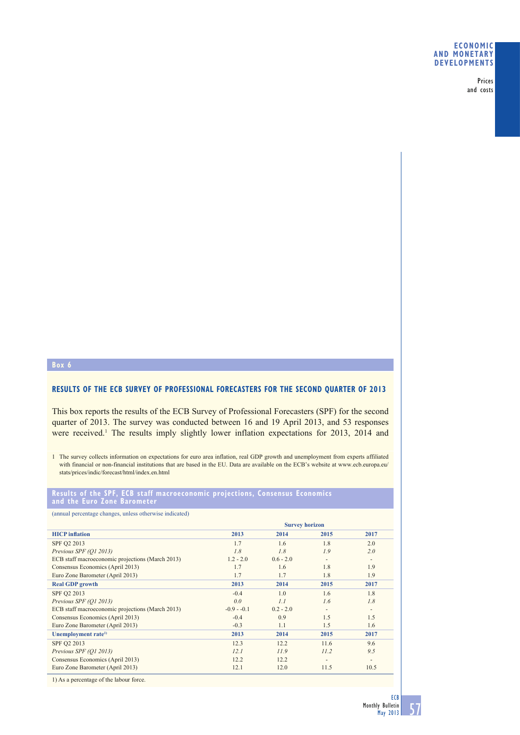## **ECONOMIC AND MONETARY DEVELOPMENTS**

Prices and costs

## **Box 6**

# **RESULTS OF THE ECB SURVEY OF PROFESSIONAL FORECASTERS FOR THE SECOND QUARTER OF 2013**

This box reports the results of the ECB Survey of Professional Forecasters (SPF) for the second quarter of 2013. The survey was conducted between 16 and 19 April 2013, and 53 responses were received.<sup>1</sup> The results imply slightly lower inflation expectations for 2013, 2014 and

1 The survey collects information on expectations for euro area inflation, real GDP growth and unemployment from experts affiliated with financial or non-financial institutions that are based in the EU. Data are available on the ECB's website at www.ecb.europa.eu/ stats/prices/indic/forecast/html/index.en.html

#### **Results of the SPF, ECB staff macroeconomic projections, Consensus Economics and the Euro Zone Barometer**

|  | (annual percentage changes, unless otherwise indicated) |
|--|---------------------------------------------------------|
|--|---------------------------------------------------------|

| <b>Survey horizon</b> |             |      |                          |
|-----------------------|-------------|------|--------------------------|
| 2013                  | 2014        | 2015 | 2017                     |
| 1.7                   | 1.6         | 1.8  | 2.0                      |
| 1.8                   | 1.8         | 1.9  | 2.0                      |
| $1.2 - 2.0$           | $0.6 - 2.0$ | ٠    | $\overline{\phantom{a}}$ |
| 1.7                   | 1.6         | 1.8  | 1.9                      |
| 1.7                   | 1.7         | 1.8  | 1.9                      |
| 2013                  | 2014        | 2015 | 2017                     |
| $-0.4$                | 1.0         | 1.6  | 1.8                      |
| 0.0                   | 1.1         | 1.6  | 1.8                      |
| $-0.9 - 0.1$          | $0.2 - 2.0$ | ٠    | $\overline{\phantom{a}}$ |
| $-0.4$                | 0.9         | 1.5  | 1.5                      |
| $-0.3$                | 1.1         | 1.5  | 1.6                      |
| 2013                  | 2014        | 2015 | 2017                     |
| 12.3                  | 12.2        | 11.6 | 9.6                      |
| 12.1                  | 11.9        | 11.2 | 9.5                      |
| 12.2                  | 12.2        |      |                          |
| 12.1                  | 12.0        | 11.5 | 10.5                     |
|                       |             |      |                          |

1) As a percentage of the labour force.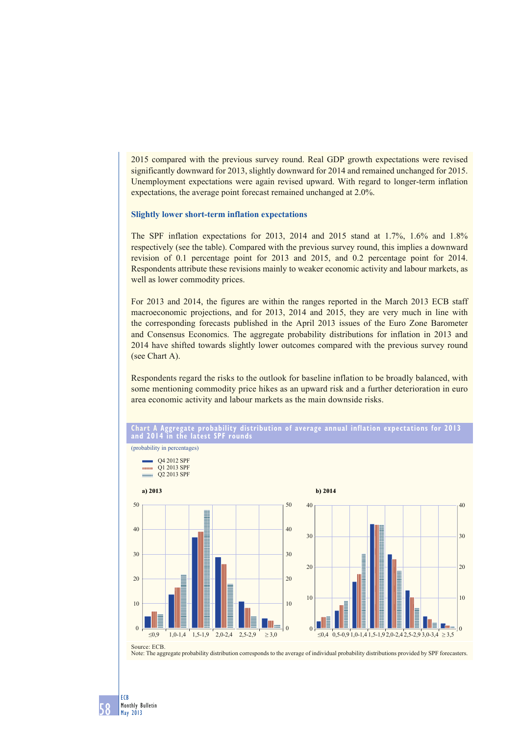2015 compared with the previous survey round. Real GDP growth expectations were revised significantly downward for 2013, slightly downward for 2014 and remained unchanged for 2015. Unemployment expectations were again revised upward. With regard to longer-term inflation expectations, the average point forecast remained unchanged at 2.0%.

#### **Slightly lower short-term inflation expectations**

The SPF inflation expectations for 2013, 2014 and 2015 stand at 1.7%, 1.6% and 1.8% respectively (see the table). Compared with the previous survey round, this implies a downward revision of 0.1 percentage point for 2013 and 2015, and 0.2 percentage point for 2014. Respondents attribute these revisions mainly to weaker economic activity and labour markets, as well as lower commodity prices.

For 2013 and 2014, the figures are within the ranges reported in the March 2013 ECB staff macroeconomic projections, and for 2013, 2014 and 2015, they are very much in line with the corresponding forecasts published in the April 2013 issues of the Euro Zone Barometer and Consensus Economics. The aggregate probability distributions for inflation in 2013 and 2014 have shifted towards slightly lower outcomes compared with the previous survey round (see Chart A).

Respondents regard the risks to the outlook for baseline inflation to be broadly balanced, with some mentioning commodity price hikes as an upward risk and a further deterioration in euro area economic activity and labour markets as the main downside risks.



**CONTRACTOR** Q1 2013 SPF O<sub>2</sub> 2013 SPF **a) 2013 b) 2014** 50 50 40 40 40 40 30 30 30 30 20 20 20 20 10 10 10 10  $\theta$  $\Omega$  $\Omega$  $\Omega$  $\leq 0.9$  1,0-1,4 1,5-1,9 2,0-2,4 2,5-2,9  $\geq 3.0$  $\leq 0.4$  0.5-0.9 1.0-1.4 1.5-1.9 2.0-2.4 2.5-2.9 3.0-3.4 > 3.5 Source: ECB.

Note: The aggregate probability distribution corresponds to the average of individual probability distributions provided by SPF forecasters.

58

ECB Monthly Bulletin May 2013

(probability in percentages)

Q4 2012 SPF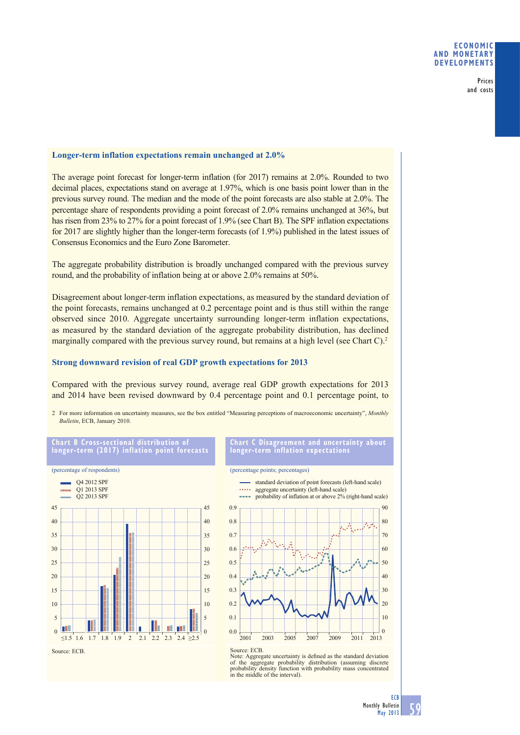## **ECONOMIC AND MONETARY DEVELOPMENTS**

Prices and costs

## **Longer-term inflation expectations remain unchanged at 2.0%**

The average point forecast for longer-term inflation (for 2017) remains at 2.0%. Rounded to two decimal places, expectations stand on average at 1.97%, which is one basis point lower than in the previous survey round. The median and the mode of the point forecasts are also stable at 2.0%. The percentage share of respondents providing a point forecast of 2.0% remains unchanged at 36%, but has risen from 23% to 27% for a point forecast of 1.9% (see Chart B). The SPF inflation expectations for 2017 are slightly higher than the longer-term forecasts (of 1.9%) published in the latest issues of Consensus Economics and the Euro Zone Barometer.

The aggregate probability distribution is broadly unchanged compared with the previous survey round, and the probability of inflation being at or above 2.0% remains at 50%.

Disagreement about longer-term inflation expectations, as measured by the standard deviation of the point forecasts, remains unchanged at 0.2 percentage point and is thus still within the range observed since 2010. Aggregate uncertainty surrounding longer-term inflation expectations, as measured by the standard deviation of the aggregate probability distribution, has declined marginally compared with the previous survey round, but remains at a high level (see Chart C).<sup>2</sup>

#### **Strong downward revision of real GDP growth expectations for 2013**

Compared with the previous survey round, average real GDP growth expectations for 2013 and 2014 have been revised downward by 0.4 percentage point and 0.1 percentage point, to

2 For more information on uncertainty measures, see the box entitled "Measuring perceptions of macroeconomic uncertainty", *Monthly Bulletin*, ECB, January 2010.



**Chart C Disagreement and uncertainty about longer-term inflation expectations**

#### (percentage points; percentages)



Source: ECB. Note:  $EES$ : Note: Aggregate uncertainty is defined as the standard deviation of the aggregate probability distribution (assuming discrete probability density function with probability mass concentrated in the middle of the interval).

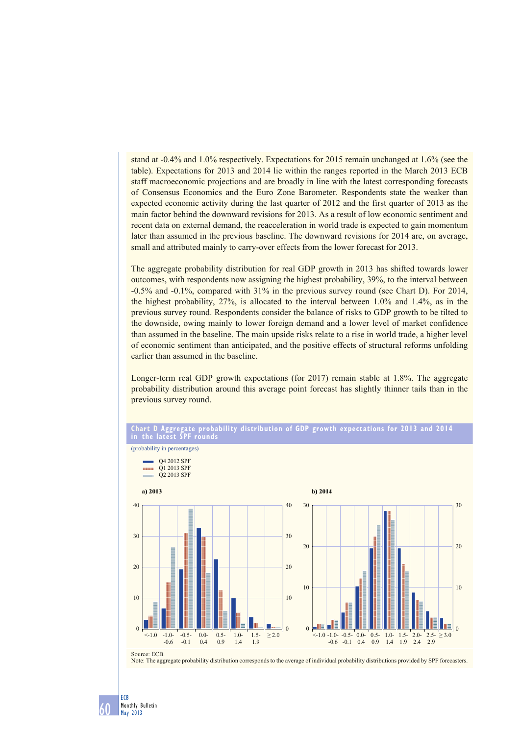stand at -0.4% and 1.0% respectively. Expectations for 2015 remain unchanged at 1.6% (see the table). Expectations for 2013 and 2014 lie within the ranges reported in the March 2013 ECB staff macroeconomic projections and are broadly in line with the latest corresponding forecasts of Consensus Economics and the Euro Zone Barometer. Respondents state the weaker than expected economic activity during the last quarter of 2012 and the first quarter of 2013 as the main factor behind the downward revisions for 2013. As a result of low economic sentiment and recent data on external demand, the reacceleration in world trade is expected to gain momentum later than assumed in the previous baseline. The downward revisions for 2014 are, on average, small and attributed mainly to carry-over effects from the lower forecast for 2013.

The aggregate probability distribution for real GDP growth in 2013 has shifted towards lower outcomes, with respondents now assigning the highest probability, 39%, to the interval between -0.5% and -0.1%, compared with 31% in the previous survey round (see Chart D). For 2014, the highest probability, 27%, is allocated to the interval between 1.0% and 1.4%, as in the previous survey round. Respondents consider the balance of risks to GDP growth to be tilted to the downside, owing mainly to lower foreign demand and a lower level of market confidence than assumed in the baseline. The main upside risks relate to a rise in world trade, a higher level of economic sentiment than anticipated, and the positive effects of structural reforms unfolding earlier than assumed in the baseline.

Longer-term real GDP growth expectations (for 2017) remain stable at 1.8%. The aggregate probability distribution around this average point forecast has slightly thinner tails than in the previous survey round.



#### **Chart D Aggregate probability distribution of GDP growth expectations for 2013 and 2014 in the latest SPF rounds**

Note: The aggregate probability distribution corresponds to the average of individual probability distributions provided by SPF forecasters.

(probability in percentages)